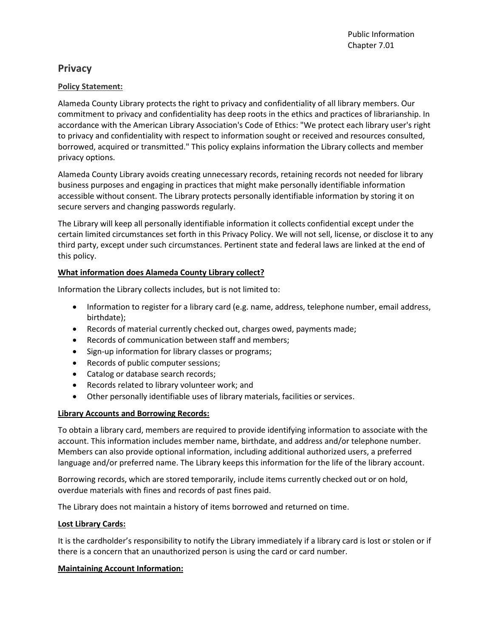# **Privacy**

# **Policy Statement:**

Alameda County Library protects the right to privacy and confidentiality of all library members. Our commitment to privacy and confidentiality has deep roots in the ethics and practices of librarianship. In accordance with the American Library Association's Code of Ethics: "We protect each library user's right to privacy and confidentiality with respect to information sought or received and resources consulted, borrowed, acquired or transmitted." This policy explains information the Library collects and member privacy options.

Alameda County Library avoids creating unnecessary records, retaining records not needed for library business purposes and engaging in practices that might make personally identifiable information accessible without consent. The Library protects personally identifiable information by storing it on secure servers and changing passwords regularly.

The Library will keep all personally identifiable information it collects confidential except under the certain limited circumstances set forth in this Privacy Policy. We will not sell, license, or disclose it to any third party, except under such circumstances. Pertinent state and federal laws are linked at the end of this policy.

# **What information does Alameda County Library collect?**

Information the Library collects includes, but is not limited to:

- Information to register for a library card (e.g. name, address, telephone number, email address, birthdate);
- Records of material currently checked out, charges owed, payments made;
- Records of communication between staff and members;
- Sign-up information for library classes or programs;
- Records of public computer sessions;
- Catalog or database search records;
- Records related to library volunteer work; and
- Other personally identifiable uses of library materials, facilities or services.

# **Library Accounts and Borrowing Records:**

To obtain a library card, members are required to provide identifying information to associate with the account. This information includes member name, birthdate, and address and/or telephone number. Members can also provide optional information, including additional authorized users, a preferred language and/or preferred name. The Library keeps this information for the life of the library account.

Borrowing records, which are stored temporarily, include items currently checked out or on hold, overdue materials with fines and records of past fines paid.

The Library does not maintain a history of items borrowed and returned on time.

# **Lost Library Cards:**

It is the cardholder's responsibility to notify the Library immediately if a library card is lost or stolen or if there is a concern that an unauthorized person is using the card or card number.

# **Maintaining Account Information:**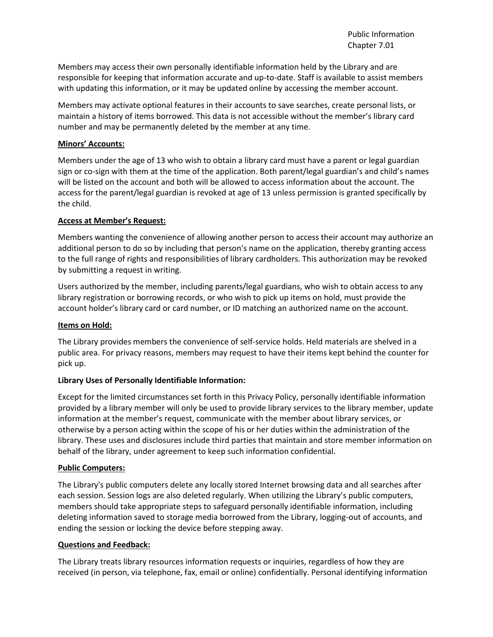Members may access their own personally identifiable information held by the Library and are responsible for keeping that information accurate and up-to-date. Staff is available to assist members with updating this information, or it may be updated online by accessing the member account.

Members may activate optional features in their accounts to save searches, create personal lists, or maintain a history of items borrowed. This data is not accessible without the member's library card number and may be permanently deleted by the member at any time.

### **Minors' Accounts:**

Members under the age of 13 who wish to obtain a library card must have a parent or legal guardian sign or co-sign with them at the time of the application. Both parent/legal guardian's and child's names will be listed on the account and both will be allowed to access information about the account. The access for the parent/legal guardian is revoked at age of 13 unless permission is granted specifically by the child.

### **Access at Member's Request:**

Members wanting the convenience of allowing another person to access their account may authorize an additional person to do so by including that person's name on the application, thereby granting access to the full range of rights and responsibilities of library cardholders. This authorization may be revoked by submitting a request in writing.

Users authorized by the member, including parents/legal guardians, who wish to obtain access to any library registration or borrowing records, or who wish to pick up items on hold, must provide the account holder's library card or card number, or ID matching an authorized name on the account.

### **Items on Hold:**

The Library provides members the convenience of self-service holds. Held materials are shelved in a public area. For privacy reasons, members may request to have their items kept behind the counter for pick up.

# **Library Uses of Personally Identifiable Information:**

Except for the limited circumstances set forth in this Privacy Policy, personally identifiable information provided by a library member will only be used to provide library services to the library member, update information at the member's request, communicate with the member about library services, or otherwise by a person acting within the scope of his or her duties within the administration of the library. These uses and disclosures include third parties that maintain and store member information on behalf of the library, under agreement to keep such information confidential.

### **Public Computers:**

The Library's public computers delete any locally stored Internet browsing data and all searches after each session. Session logs are also deleted regularly. When utilizing the Library's public computers, members should take appropriate steps to safeguard personally identifiable information, including deleting information saved to storage media borrowed from the Library, logging-out of accounts, and ending the session or locking the device before stepping away.

### **Questions and Feedback:**

The Library treats library resources information requests or inquiries, regardless of how they are received (in person, via telephone, fax, email or online) confidentially. Personal identifying information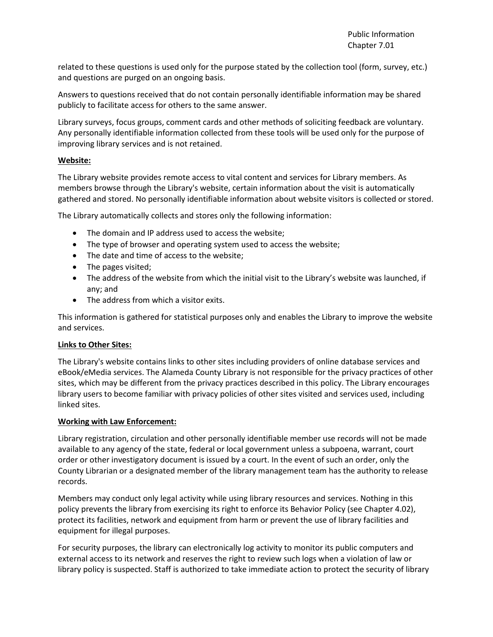related to these questions is used only for the purpose stated by the collection tool (form, survey, etc.) and questions are purged on an ongoing basis.

Answers to questions received that do not contain personally identifiable information may be shared publicly to facilitate access for others to the same answer.

Library surveys, focus groups, comment cards and other methods of soliciting feedback are voluntary. Any personally identifiable information collected from these tools will be used only for the purpose of improving library services and is not retained.

### **Website:**

The Library website provides remote access to vital content and services for Library members. As members browse through the Library's website, certain information about the visit is automatically gathered and stored. No personally identifiable information about website visitors is collected or stored.

The Library automatically collects and stores only the following information:

- The domain and IP address used to access the website;
- The type of browser and operating system used to access the website;
- The date and time of access to the website;
- The pages visited;
- The address of the website from which the initial visit to the Library's website was launched, if any; and
- The address from which a visitor exits.

This information is gathered for statistical purposes only and enables the Library to improve the website and services.

### **Links to Other Sites:**

The Library's website contains links to other sites including providers of online database services and eBook/eMedia services. The Alameda County Library is not responsible for the privacy practices of other sites, which may be different from the privacy practices described in this policy. The Library encourages library users to become familiar with privacy policies of other sites visited and services used, including linked sites.

### **Working with Law Enforcement:**

Library registration, circulation and other personally identifiable member use records will not be made available to any agency of the state, federal or local government unless a subpoena, warrant, court order or other investigatory document is issued by a court. In the event of such an order, only the County Librarian or a designated member of the library management team has the authority to release records.

Members may conduct only legal activity while using library resources and services. Nothing in this policy prevents the library from exercising its right to enforce its Behavior Policy (see Chapter 4.02), protect its facilities, network and equipment from harm or prevent the use of library facilities and equipment for illegal purposes.

For security purposes, the library can electronically log activity to monitor its public computers and external access to its network and reserves the right to review such logs when a violation of law or library policy is suspected. Staff is authorized to take immediate action to protect the security of library